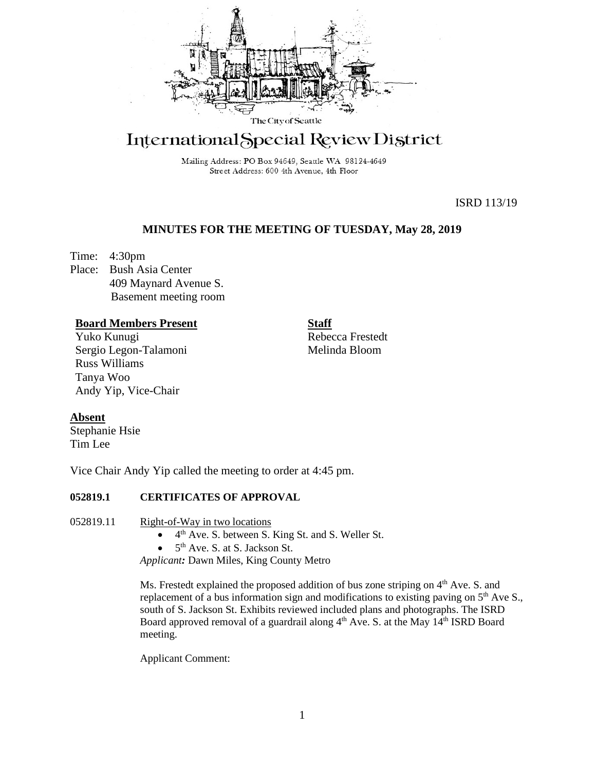

# International Special Review District

Mailing Address: PO Box 94649, Seattle WA 98124-4649 Street Address: 600 4th Avenue, 4th Floor

ISRD 113/19

# **MINUTES FOR THE MEETING OF TUESDAY, May 28, 2019**

Time: 4:30pm Place: Bush Asia Center 409 Maynard Avenue S. Basement meeting room

## **Board Members Present**

Yuko Kunugi Sergio Legon-Talamoni Russ Williams Tanya Woo Andy Yip, Vice-Chair

**Staff** Rebecca Frestedt Melinda Bloom

# **Absent**

Stephanie Hsie Tim Lee

Vice Chair Andy Yip called the meeting to order at 4:45 pm.

# **052819.1 CERTIFICATES OF APPROVAL**

## 052819.11 Right-of-Way in two locations

- $\bullet$  4<sup>th</sup> Ave. S. between S. King St. and S. Weller St.
- $\bullet$  5<sup>th</sup> Ave. S. at S. Jackson St.

*Applicant:* Dawn Miles, King County Metro

Ms. Frestedt explained the proposed addition of bus zone striping on 4<sup>th</sup> Ave. S. and replacement of a bus information sign and modifications to existing paving on  $5<sup>th</sup>$  Ave S., south of S. Jackson St. Exhibits reviewed included plans and photographs. The ISRD Board approved removal of a guardrail along 4<sup>th</sup> Ave. S. at the May 14<sup>th</sup> ISRD Board meeting.

Applicant Comment: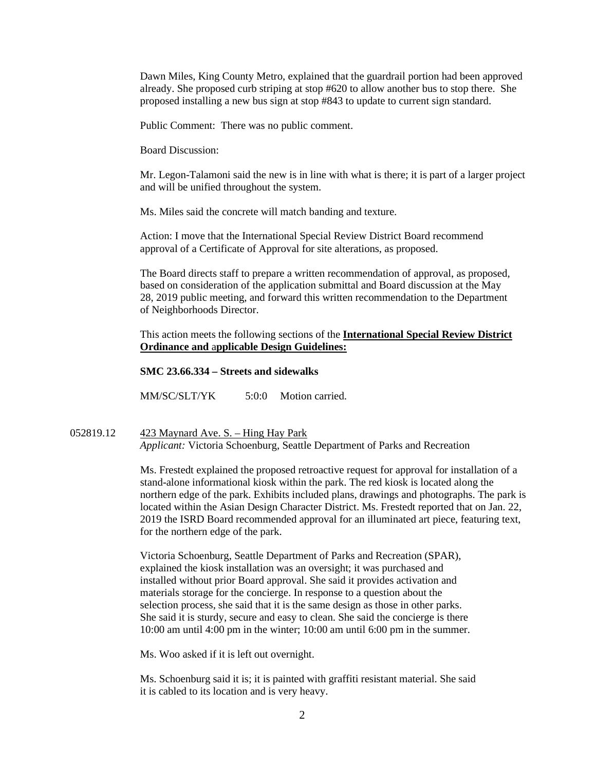Dawn Miles, King County Metro, explained that the guardrail portion had been approved already. She proposed curb striping at stop #620 to allow another bus to stop there. She proposed installing a new bus sign at stop #843 to update to current sign standard.

Public Comment: There was no public comment.

Board Discussion:

Mr. Legon-Talamoni said the new is in line with what is there; it is part of a larger project and will be unified throughout the system.

Ms. Miles said the concrete will match banding and texture.

Action: I move that the International Special Review District Board recommend approval of a Certificate of Approval for site alterations, as proposed.

The Board directs staff to prepare a written recommendation of approval, as proposed, based on consideration of the application submittal and Board discussion at the May 28, 2019 public meeting, and forward this written recommendation to the Department of Neighborhoods Director.

This action meets the following sections of the **International Special Review District Ordinance and** a**pplicable Design Guidelines:**

**SMC 23.66.334 – Streets and sidewalks**

MM/SC/SLT/YK 5:0:0 Motion carried.

052819.12 423 Maynard Ave. S. – Hing Hay Park *Applicant:* Victoria Schoenburg, Seattle Department of Parks and Recreation

> Ms. Frestedt explained the proposed retroactive request for approval for installation of a stand-alone informational kiosk within the park. The red kiosk is located along the northern edge of the park. Exhibits included plans, drawings and photographs. The park is located within the Asian Design Character District. Ms. Frestedt reported that on Jan. 22, 2019 the ISRD Board recommended approval for an illuminated art piece, featuring text, for the northern edge of the park.

Victoria Schoenburg, Seattle Department of Parks and Recreation (SPAR), explained the kiosk installation was an oversight; it was purchased and installed without prior Board approval. She said it provides activation and materials storage for the concierge. In response to a question about the selection process, she said that it is the same design as those in other parks. She said it is sturdy, secure and easy to clean. She said the concierge is there 10:00 am until 4:00 pm in the winter; 10:00 am until 6:00 pm in the summer.

Ms. Woo asked if it is left out overnight.

Ms. Schoenburg said it is; it is painted with graffiti resistant material. She said it is cabled to its location and is very heavy.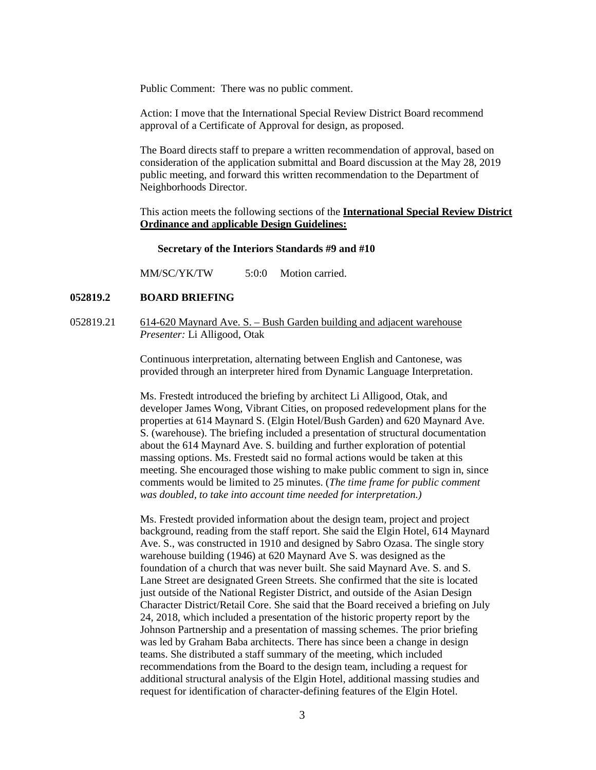Public Comment: There was no public comment.

Action: I move that the International Special Review District Board recommend approval of a Certificate of Approval for design, as proposed.

The Board directs staff to prepare a written recommendation of approval, based on consideration of the application submittal and Board discussion at the May 28, 2019 public meeting, and forward this written recommendation to the Department of Neighborhoods Director.

This action meets the following sections of the **International Special Review District Ordinance and** a**pplicable Design Guidelines:**

### **Secretary of the Interiors Standards #9 and #10**

MM/SC/YK/TW 5:0:0 Motion carried.

## **052819.2 BOARD BRIEFING**

052819.21 614-620 Maynard Ave. S. – Bush Garden building and adjacent warehouse *Presenter:* Li Alligood, Otak

> Continuous interpretation, alternating between English and Cantonese, was provided through an interpreter hired from Dynamic Language Interpretation.

Ms. Frestedt introduced the briefing by architect Li Alligood, Otak, and developer James Wong, Vibrant Cities, on proposed redevelopment plans for the properties at 614 Maynard S. (Elgin Hotel/Bush Garden) and 620 Maynard Ave. S. (warehouse). The briefing included a presentation of structural documentation about the 614 Maynard Ave. S. building and further exploration of potential massing options. Ms. Frestedt said no formal actions would be taken at this meeting. She encouraged those wishing to make public comment to sign in, since comments would be limited to 25 minutes. (*The time frame for public comment was doubled, to take into account time needed for interpretation.)*

Ms. Frestedt provided information about the design team, project and project background, reading from the staff report. She said the Elgin Hotel, 614 Maynard Ave. S., was constructed in 1910 and designed by Sabro Ozasa. The single story warehouse building (1946) at 620 Maynard Ave S. was designed as the foundation of a church that was never built. She said Maynard Ave. S. and S. Lane Street are designated Green Streets. She confirmed that the site is located just outside of the National Register District, and outside of the Asian Design Character District/Retail Core. She said that the Board received a briefing on July 24, 2018, which included a presentation of the historic property report by the Johnson Partnership and a presentation of massing schemes. The prior briefing was led by Graham Baba architects. There has since been a change in design teams. She distributed a staff summary of the meeting, which included recommendations from the Board to the design team, including a request for additional structural analysis of the Elgin Hotel, additional massing studies and request for identification of character-defining features of the Elgin Hotel.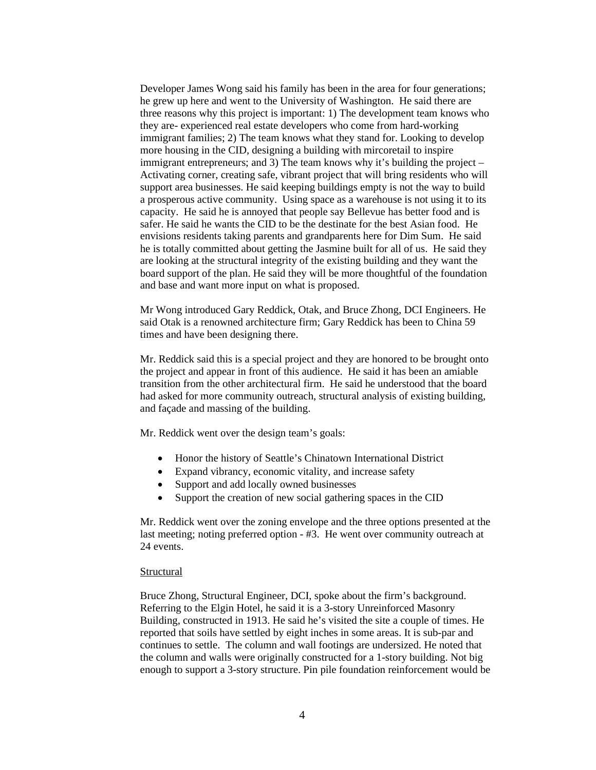Developer James Wong said his family has been in the area for four generations; he grew up here and went to the University of Washington. He said there are three reasons why this project is important: 1) The development team knows who they are- experienced real estate developers who come from hard-working immigrant families; 2) The team knows what they stand for. Looking to develop more housing in the CID, designing a building with mircoretail to inspire immigrant entrepreneurs; and 3) The team knows why it's building the project – Activating corner, creating safe, vibrant project that will bring residents who will support area businesses. He said keeping buildings empty is not the way to build a prosperous active community. Using space as a warehouse is not using it to its capacity. He said he is annoyed that people say Bellevue has better food and is safer. He said he wants the CID to be the destinate for the best Asian food. He envisions residents taking parents and grandparents here for Dim Sum. He said he is totally committed about getting the Jasmine built for all of us. He said they are looking at the structural integrity of the existing building and they want the board support of the plan. He said they will be more thoughtful of the foundation and base and want more input on what is proposed.

Mr Wong introduced Gary Reddick, Otak, and Bruce Zhong, DCI Engineers. He said Otak is a renowned architecture firm; Gary Reddick has been to China 59 times and have been designing there.

Mr. Reddick said this is a special project and they are honored to be brought onto the project and appear in front of this audience. He said it has been an amiable transition from the other architectural firm. He said he understood that the board had asked for more community outreach, structural analysis of existing building, and façade and massing of the building.

Mr. Reddick went over the design team's goals:

- Honor the history of Seattle's Chinatown International District
- Expand vibrancy, economic vitality, and increase safety
- Support and add locally owned businesses
- Support the creation of new social gathering spaces in the CID

Mr. Reddick went over the zoning envelope and the three options presented at the last meeting; noting preferred option - #3. He went over community outreach at 24 events.

## **Structural**

Bruce Zhong, Structural Engineer, DCI, spoke about the firm's background. Referring to the Elgin Hotel, he said it is a 3-story Unreinforced Masonry Building, constructed in 1913. He said he's visited the site a couple of times. He reported that soils have settled by eight inches in some areas. It is sub-par and continues to settle. The column and wall footings are undersized. He noted that the column and walls were originally constructed for a 1-story building. Not big enough to support a 3-story structure. Pin pile foundation reinforcement would be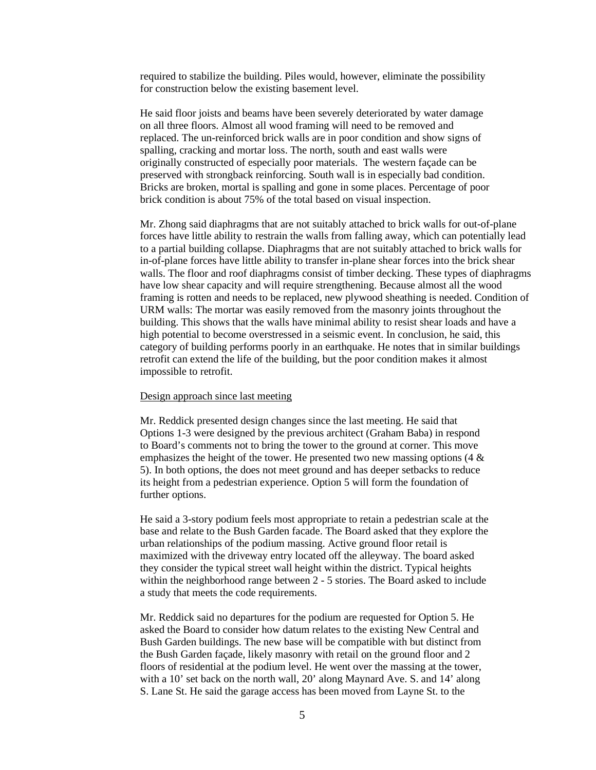required to stabilize the building. Piles would, however, eliminate the possibility for construction below the existing basement level.

He said floor joists and beams have been severely deteriorated by water damage on all three floors. Almost all wood framing will need to be removed and replaced. The un-reinforced brick walls are in poor condition and show signs of spalling, cracking and mortar loss. The north, south and east walls were originally constructed of especially poor materials. The western façade can be preserved with strongback reinforcing. South wall is in especially bad condition. Bricks are broken, mortal is spalling and gone in some places. Percentage of poor brick condition is about 75% of the total based on visual inspection.

Mr. Zhong said diaphragms that are not suitably attached to brick walls for out-of-plane forces have little ability to restrain the walls from falling away, which can potentially lead to a partial building collapse. Diaphragms that are not suitably attached to brick walls for in-of-plane forces have little ability to transfer in-plane shear forces into the brick shear walls. The floor and roof diaphragms consist of timber decking. These types of diaphragms have low shear capacity and will require strengthening. Because almost all the wood framing is rotten and needs to be replaced, new plywood sheathing is needed. Condition of URM walls: The mortar was easily removed from the masonry joints throughout the building. This shows that the walls have minimal ability to resist shear loads and have a high potential to become overstressed in a seismic event. In conclusion, he said, this category of building performs poorly in an earthquake. He notes that in similar buildings retrofit can extend the life of the building, but the poor condition makes it almost impossible to retrofit.

## Design approach since last meeting

Mr. Reddick presented design changes since the last meeting. He said that Options 1-3 were designed by the previous architect (Graham Baba) in respond to Board's comments not to bring the tower to the ground at corner. This move emphasizes the height of the tower. He presented two new massing options  $(4 \&$ 5). In both options, the does not meet ground and has deeper setbacks to reduce its height from a pedestrian experience. Option 5 will form the foundation of further options.

He said a 3-story podium feels most appropriate to retain a pedestrian scale at the base and relate to the Bush Garden facade. The Board asked that they explore the urban relationships of the podium massing. Active ground floor retail is maximized with the driveway entry located off the alleyway. The board asked they consider the typical street wall height within the district. Typical heights within the neighborhood range between 2 - 5 stories. The Board asked to include a study that meets the code requirements.

Mr. Reddick said no departures for the podium are requested for Option 5. He asked the Board to consider how datum relates to the existing New Central and Bush Garden buildings. The new base will be compatible with but distinct from the Bush Garden façade, likely masonry with retail on the ground floor and 2 floors of residential at the podium level. He went over the massing at the tower, with a 10' set back on the north wall, 20' along Maynard Ave. S. and 14' along S. Lane St. He said the garage access has been moved from Layne St. to the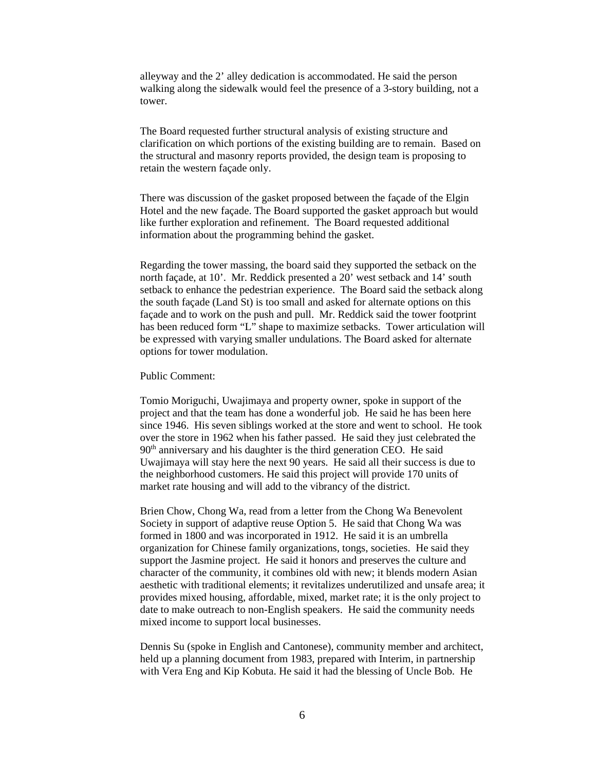alleyway and the 2' alley dedication is accommodated. He said the person walking along the sidewalk would feel the presence of a 3-story building, not a tower.

The Board requested further structural analysis of existing structure and clarification on which portions of the existing building are to remain. Based on the structural and masonry reports provided, the design team is proposing to retain the western façade only.

There was discussion of the gasket proposed between the façade of the Elgin Hotel and the new façade. The Board supported the gasket approach but would like further exploration and refinement. The Board requested additional information about the programming behind the gasket.

Regarding the tower massing, the board said they supported the setback on the north façade, at 10'. Mr. Reddick presented a 20' west setback and 14' south setback to enhance the pedestrian experience. The Board said the setback along the south façade (Land St) is too small and asked for alternate options on this façade and to work on the push and pull. Mr. Reddick said the tower footprint has been reduced form "L" shape to maximize setbacks. Tower articulation will be expressed with varying smaller undulations. The Board asked for alternate options for tower modulation.

Public Comment:

Tomio Moriguchi, Uwajimaya and property owner, spoke in support of the project and that the team has done a wonderful job. He said he has been here since 1946. His seven siblings worked at the store and went to school. He took over the store in 1962 when his father passed. He said they just celebrated the 90<sup>th</sup> anniversary and his daughter is the third generation CEO. He said Uwajimaya will stay here the next 90 years. He said all their success is due to the neighborhood customers. He said this project will provide 170 units of market rate housing and will add to the vibrancy of the district.

Brien Chow, Chong Wa, read from a letter from the Chong Wa Benevolent Society in support of adaptive reuse Option 5. He said that Chong Wa was formed in 1800 and was incorporated in 1912. He said it is an umbrella organization for Chinese family organizations, tongs, societies. He said they support the Jasmine project. He said it honors and preserves the culture and character of the community, it combines old with new; it blends modern Asian aesthetic with traditional elements; it revitalizes underutilized and unsafe area; it provides mixed housing, affordable, mixed, market rate; it is the only project to date to make outreach to non-English speakers. He said the community needs mixed income to support local businesses.

Dennis Su (spoke in English and Cantonese), community member and architect, held up a planning document from 1983, prepared with Interim, in partnership with Vera Eng and Kip Kobuta. He said it had the blessing of Uncle Bob. He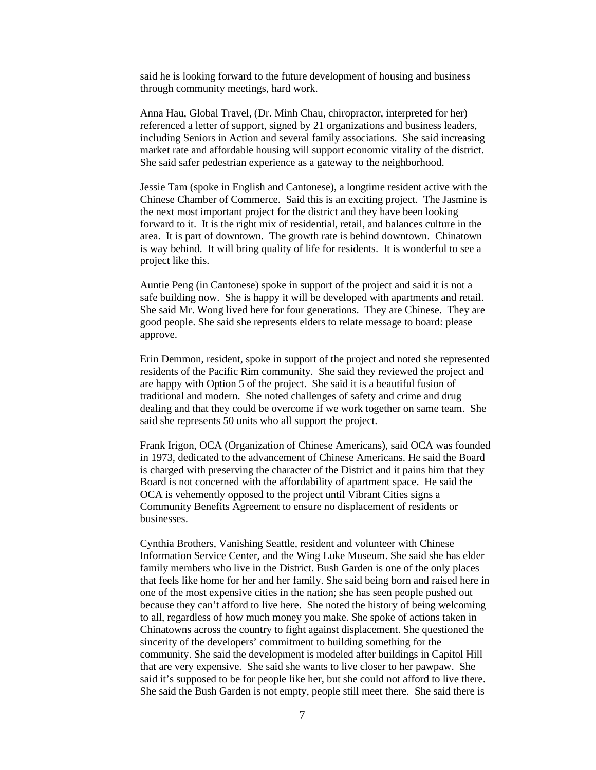said he is looking forward to the future development of housing and business through community meetings, hard work.

Anna Hau, Global Travel, (Dr. Minh Chau, chiropractor, interpreted for her) referenced a letter of support, signed by 21 organizations and business leaders, including Seniors in Action and several family associations. She said increasing market rate and affordable housing will support economic vitality of the district. She said safer pedestrian experience as a gateway to the neighborhood.

Jessie Tam (spoke in English and Cantonese), a longtime resident active with the Chinese Chamber of Commerce. Said this is an exciting project. The Jasmine is the next most important project for the district and they have been looking forward to it. It is the right mix of residential, retail, and balances culture in the area. It is part of downtown. The growth rate is behind downtown. Chinatown is way behind. It will bring quality of life for residents. It is wonderful to see a project like this.

Auntie Peng (in Cantonese) spoke in support of the project and said it is not a safe building now. She is happy it will be developed with apartments and retail. She said Mr. Wong lived here for four generations. They are Chinese. They are good people. She said she represents elders to relate message to board: please approve.

Erin Demmon, resident, spoke in support of the project and noted she represented residents of the Pacific Rim community. She said they reviewed the project and are happy with Option 5 of the project. She said it is a beautiful fusion of traditional and modern. She noted challenges of safety and crime and drug dealing and that they could be overcome if we work together on same team. She said she represents 50 units who all support the project.

Frank Irigon, OCA (Organization of Chinese Americans), said OCA was founded in 1973, dedicated to the advancement of Chinese Americans. He said the Board is charged with preserving the character of the District and it pains him that they Board is not concerned with the affordability of apartment space. He said the OCA is vehemently opposed to the project until Vibrant Cities signs a Community Benefits Agreement to ensure no displacement of residents or businesses.

Cynthia Brothers, Vanishing Seattle, resident and volunteer with Chinese Information Service Center, and the Wing Luke Museum. She said she has elder family members who live in the District. Bush Garden is one of the only places that feels like home for her and her family. She said being born and raised here in one of the most expensive cities in the nation; she has seen people pushed out because they can't afford to live here. She noted the history of being welcoming to all, regardless of how much money you make. She spoke of actions taken in Chinatowns across the country to fight against displacement. She questioned the sincerity of the developers' commitment to building something for the community. She said the development is modeled after buildings in Capitol Hill that are very expensive. She said she wants to live closer to her pawpaw. She said it's supposed to be for people like her, but she could not afford to live there. She said the Bush Garden is not empty, people still meet there. She said there is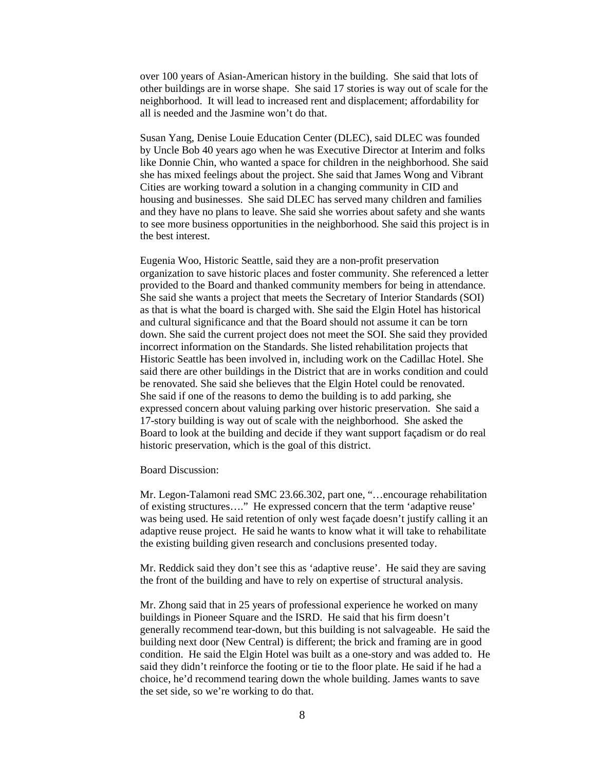over 100 years of Asian-American history in the building. She said that lots of other buildings are in worse shape. She said 17 stories is way out of scale for the neighborhood. It will lead to increased rent and displacement; affordability for all is needed and the Jasmine won't do that.

Susan Yang, Denise Louie Education Center (DLEC), said DLEC was founded by Uncle Bob 40 years ago when he was Executive Director at Interim and folks like Donnie Chin, who wanted a space for children in the neighborhood. She said she has mixed feelings about the project. She said that James Wong and Vibrant Cities are working toward a solution in a changing community in CID and housing and businesses. She said DLEC has served many children and families and they have no plans to leave. She said she worries about safety and she wants to see more business opportunities in the neighborhood. She said this project is in the best interest.

Eugenia Woo, Historic Seattle, said they are a non-profit preservation organization to save historic places and foster community. She referenced a letter provided to the Board and thanked community members for being in attendance. She said she wants a project that meets the Secretary of Interior Standards (SOI) as that is what the board is charged with. She said the Elgin Hotel has historical and cultural significance and that the Board should not assume it can be torn down. She said the current project does not meet the SOI. She said they provided incorrect information on the Standards. She listed rehabilitation projects that Historic Seattle has been involved in, including work on the Cadillac Hotel. She said there are other buildings in the District that are in works condition and could be renovated. She said she believes that the Elgin Hotel could be renovated. She said if one of the reasons to demo the building is to add parking, she expressed concern about valuing parking over historic preservation. She said a 17-story building is way out of scale with the neighborhood. She asked the Board to look at the building and decide if they want support façadism or do real historic preservation, which is the goal of this district.

Board Discussion:

Mr. Legon-Talamoni read SMC 23.66.302, part one, "…encourage rehabilitation of existing structures…." He expressed concern that the term 'adaptive reuse' was being used. He said retention of only west façade doesn't justify calling it an adaptive reuse project. He said he wants to know what it will take to rehabilitate the existing building given research and conclusions presented today.

Mr. Reddick said they don't see this as 'adaptive reuse'. He said they are saving the front of the building and have to rely on expertise of structural analysis.

Mr. Zhong said that in 25 years of professional experience he worked on many buildings in Pioneer Square and the ISRD. He said that his firm doesn't generally recommend tear-down, but this building is not salvageable. He said the building next door (New Central) is different; the brick and framing are in good condition. He said the Elgin Hotel was built as a one-story and was added to. He said they didn't reinforce the footing or tie to the floor plate. He said if he had a choice, he'd recommend tearing down the whole building. James wants to save the set side, so we're working to do that.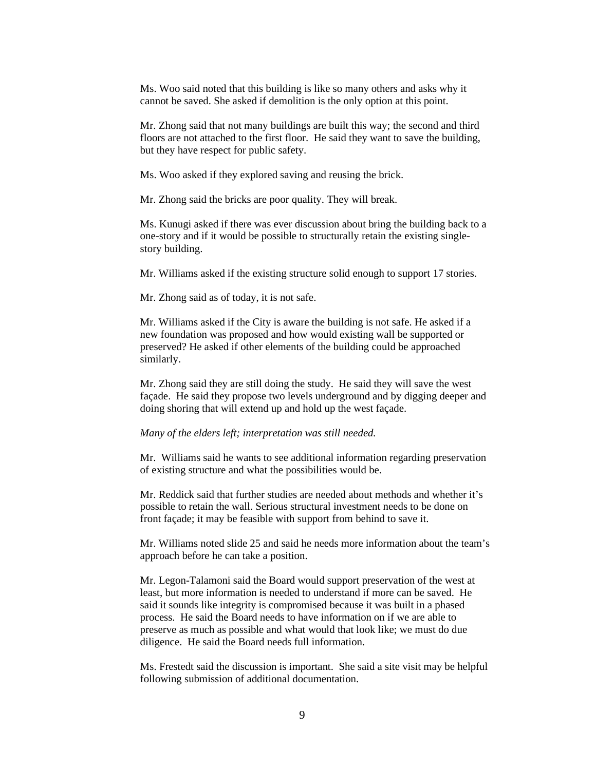Ms. Woo said noted that this building is like so many others and asks why it cannot be saved. She asked if demolition is the only option at this point.

Mr. Zhong said that not many buildings are built this way; the second and third floors are not attached to the first floor. He said they want to save the building, but they have respect for public safety.

Ms. Woo asked if they explored saving and reusing the brick.

Mr. Zhong said the bricks are poor quality. They will break.

Ms. Kunugi asked if there was ever discussion about bring the building back to a one-story and if it would be possible to structurally retain the existing singlestory building.

Mr. Williams asked if the existing structure solid enough to support 17 stories.

Mr. Zhong said as of today, it is not safe.

Mr. Williams asked if the City is aware the building is not safe. He asked if a new foundation was proposed and how would existing wall be supported or preserved? He asked if other elements of the building could be approached similarly.

Mr. Zhong said they are still doing the study. He said they will save the west façade. He said they propose two levels underground and by digging deeper and doing shoring that will extend up and hold up the west façade.

#### *Many of the elders left; interpretation was still needed.*

Mr. Williams said he wants to see additional information regarding preservation of existing structure and what the possibilities would be.

Mr. Reddick said that further studies are needed about methods and whether it's possible to retain the wall. Serious structural investment needs to be done on front façade; it may be feasible with support from behind to save it.

Mr. Williams noted slide 25 and said he needs more information about the team's approach before he can take a position.

Mr. Legon-Talamoni said the Board would support preservation of the west at least, but more information is needed to understand if more can be saved. He said it sounds like integrity is compromised because it was built in a phased process. He said the Board needs to have information on if we are able to preserve as much as possible and what would that look like; we must do due diligence. He said the Board needs full information.

Ms. Frestedt said the discussion is important. She said a site visit may be helpful following submission of additional documentation.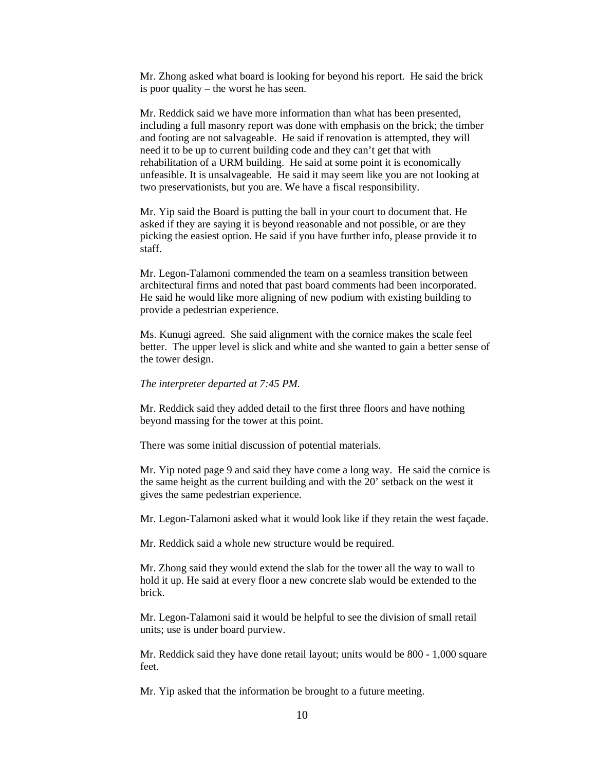Mr. Zhong asked what board is looking for beyond his report. He said the brick is poor quality – the worst he has seen.

Mr. Reddick said we have more information than what has been presented, including a full masonry report was done with emphasis on the brick; the timber and footing are not salvageable. He said if renovation is attempted, they will need it to be up to current building code and they can't get that with rehabilitation of a URM building. He said at some point it is economically unfeasible. It is unsalvageable. He said it may seem like you are not looking at two preservationists, but you are. We have a fiscal responsibility.

Mr. Yip said the Board is putting the ball in your court to document that. He asked if they are saying it is beyond reasonable and not possible, or are they picking the easiest option. He said if you have further info, please provide it to staff.

Mr. Legon-Talamoni commended the team on a seamless transition between architectural firms and noted that past board comments had been incorporated. He said he would like more aligning of new podium with existing building to provide a pedestrian experience.

Ms. Kunugi agreed. She said alignment with the cornice makes the scale feel better. The upper level is slick and white and she wanted to gain a better sense of the tower design.

### *The interpreter departed at 7:45 PM.*

Mr. Reddick said they added detail to the first three floors and have nothing beyond massing for the tower at this point.

There was some initial discussion of potential materials.

Mr. Yip noted page 9 and said they have come a long way. He said the cornice is the same height as the current building and with the 20' setback on the west it gives the same pedestrian experience.

Mr. Legon-Talamoni asked what it would look like if they retain the west façade.

Mr. Reddick said a whole new structure would be required.

Mr. Zhong said they would extend the slab for the tower all the way to wall to hold it up. He said at every floor a new concrete slab would be extended to the brick.

Mr. Legon-Talamoni said it would be helpful to see the division of small retail units; use is under board purview.

Mr. Reddick said they have done retail layout; units would be 800 - 1,000 square feet.

Mr. Yip asked that the information be brought to a future meeting.